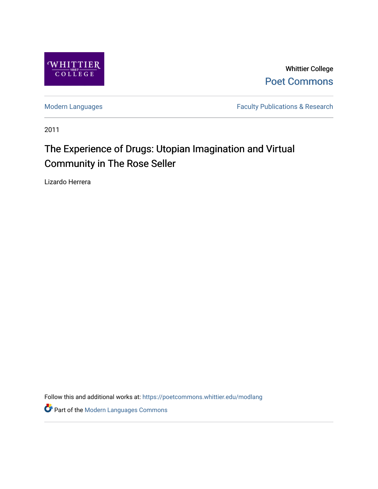

Whittier College [Poet Commons](https://poetcommons.whittier.edu/) 

[Modern Languages](https://poetcommons.whittier.edu/modlang) **Faculty Publications & Research** 

2011

## The Experience of Drugs: Utopian Imagination and Virtual Community in The Rose Seller

Lizardo Herrera

Follow this and additional works at: [https://poetcommons.whittier.edu/modlang](https://poetcommons.whittier.edu/modlang?utm_source=poetcommons.whittier.edu%2Fmodlang%2F5&utm_medium=PDF&utm_campaign=PDFCoverPages)

*O* Part of the Modern Languages Commons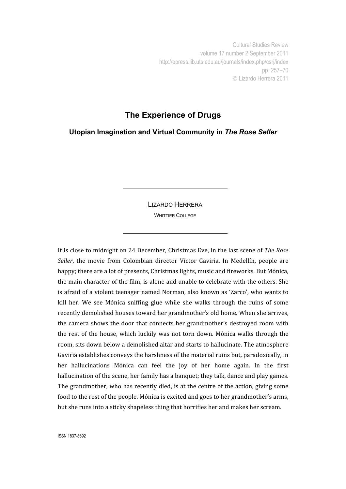Cultural Studies Review volume 17 number 2 September 2011 http://epress.lib.uts.edu.au/journals/index.php/csrj/index pp. 257–70 Lizardo Herrera 2011

## **The Experience of Drugs**

**Utopian Imagination and Virtual Community in** *The Rose Seller*

LIZARDO HERRERA

WHITTIER COLLEGE

It is close to midnight on 24 December, Christmas Eve, in the last scene of *The Rose Seller*, the movie from Colombian director Víctor Gaviria. In Medellín, people are happy; there are a lot of presents, Christmas lights, music and fireworks. But Mónica, the main character of the film, is alone and unable to celebrate with the others. She is afraid of a violent teenager named Norman, also known as 'Zarco', who wants to kill her. We see Mónica sniffing glue while she walks through the ruins of some recently demolished houses toward her grandmother's old home. When she arrives, the camera shows the door that connects her grandmother's destroyed room with the rest of the house, which luckily was not torn down. Mónica walks through the room, sits down below a demolished altar and starts to hallucinate. The atmosphere Gaviria establishes conveys the harshness of the material ruins but, paradoxically, in her hallucinations Mónica can feel the joy of her home again. In the first hallucination of the scene, her family has a banquet; they talk, dance and play games. The grandmother, who has recently died, is at the centre of the action, giving some food to the rest of the people. Mónica is excited and goes to her grandmother's arms, but she runs into a sticky shapeless thing that horrifies her and makes her scream.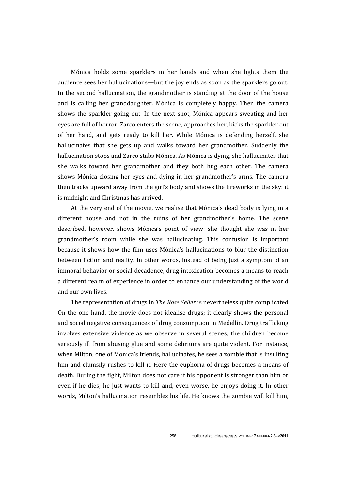Mónica holds some sparklers in her hands and when she lights them the audience sees her hallucinations—but the joy ends as soon as the sparklers go out. In the second hallucination, the grandmother is standing at the door of the house and is calling her granddaughter. Mónica is completely happy. Then the camera shows the sparkler going out. In the next shot, Mónica appears sweating and her eyes are full of horror. Zarco enters the scene, approaches her, kicks the sparkler out of her hand, and gets ready to kill her. While Mónica is defending herself, she hallucinates that she gets up and walks toward her grandmother. Suddenly the hallucination stops and Zarco stabs Mónica. As Mónica is dying, she hallucinates that she walks toward her grandmother and they both hug each other. The camera shows Mónica closing her eyes and dying in her grandmother's arms. The camera then tracks upward away from the girl's body and shows the fireworks in the sky: it is midnight and Christmas has arrived.

At the very end of the movie, we realise that Mónica's dead body is lying in a different house and not in the ruins of her grandmother's home. The scene described, however, shows Mónica's point of view: she thought she was in her grandmother's room while she was hallucinating. This confusion is important because it shows how the film uses Mónica's hallucinations to blur the distinction between fiction and reality. In other words, instead of being just a symptom of an immoral behavior or social decadence, drug intoxication becomes a means to reach a different realm of experience in order to enhance our understanding of the world and our own lives.

The representation of drugs in *The Rose Seller* is nevertheless quite complicated On the one hand, the movie does not idealise drugs; it clearly shows the personal and social negative consequences of drug consumption in Medellín. Drug trafficking involves extensive violence as we observe in several scenes; the children become seriously ill from abusing glue and some deliriums are quite violent. For instance, when Milton, one of Monica's friends, hallucinates, he sees a zombie that is insulting him and clumsily rushes to kill it. Here the euphoria of drugs becomes a means of death. During the fight, Milton does not care if his opponent is stronger than him or even if he dies; he just wants to kill and, even worse, he enjoys doing it. In other words, Milton's hallucination resembles his life. He knows the zombie will kill him,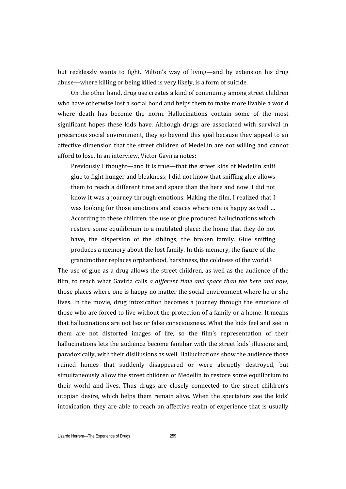but recklessly wants to fight. Milton's way of living—and by extension his drug abuse—where killing or being killed is very likely, is a form of suicide.

On the other hand, drug use creates a kind of community among street children who have otherwise lost a social bond and helps them to make more livable a world where death has become the norm. Hallucinations contain some of the most significant hopes these kids have. Although drugs are associated with survival in precarious social environment, they go beyond this goal because they appeal to an affective dimension that the street children of Medellín are not willing and cannot afford to lose. In an interview, Victor Gaviria notes:

Previously I thought—and it is true—that the street kids of Medellín sniff glue to fight hunger and bleakness; I did not know that sniffing glue allows them to reach a different time and space than the here and now. I did not know it was a journey through emotions. Making the film, I realized that I was looking for those emotions and spaces where one is happy as well … According to these children, the use of glue produced hallucinations which restore some equilibrium to a mutilated place: the home that they do not have, the dispersion of the siblings, the broken family. Glue sniffing produces a memory about the lost family. In this memory, the figure of the grandmother replaces orphanhood, harshness, the coldness of the world. 1

The use of glue as a drug allows the street children, as well as the audience of the film, to reach what Gaviria calls *a different time and space than the here and now*, those places where one is happy no matter the social environment where he or she lives. In the movie, drug intoxication becomes a journey through the emotions of those who are forced to live without the protection of a family or a home. It means that hallucinations are not lies or false consciousness. What the kids feel and see in them are not distorted images of life, so the film's representation of their hallucinations lets the audience become familiar with the street kids' illusions and, paradoxically, with their disillusions as well. Hallucinations show the audience those ruined homes that suddenly disappeared or were abruptly destroyed, but simultaneously allow the street children of Medellín to restore some equilibrium to their world and lives. Thus drugs are closely connected to the street children's utopian desire, which helps them remain alive. When the spectators see the kids' intoxication, they are able to reach an affective realm of experience that is usually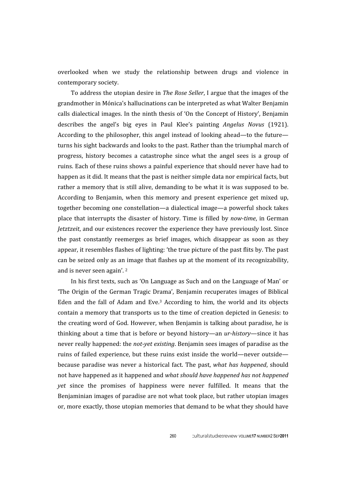overlooked when we study the relationship between drugs and violence in contemporary society.

To address the utopian desire in *The Rose Seller*, I argue that the images of the grandmother in Mónica's hallucinations can be interpreted as what Walter Benjamin calls dialectical images. In the ninth thesis of 'On the Concept of History', Benjamin describes the angel's big eyes in Paul Klee's painting *Angelus Novus* (1921). According to the philosopher, this angel instead of looking ahead—to the future turns his sight backwards and looks to the past. Rather than the triumphal march of progress, history becomes a catastrophe since what the angel sees is a group of ruins. Each of these ruins shows a painful experience that should never have had to happen as it did. It means that the past is neither simple data nor empirical facts, but rather a memory that is still alive, demanding to be what it is was supposed to be. According to Benjamin, when this memory and present experience get mixed up, together becoming one constellation—a dialectical image—a powerful shock takes place that interrupts the disaster of history. Time is filled by *nowtime*, in German *Jetztzeit*, and our existences recover the experience they have previously lost. Since the past constantly reemerges as brief images, which disappear as soon as they appear, it resembles flashes of lighting: 'the true picture of the past flits by. The past can be seized only as an image that flashes up at the moment of its recognizability, and is never seen again'. 2

In his first texts, such as 'On Language as Such and on the Language of Man' or 'The Origin of the German Tragic Drama', Benjamin recuperates images of Biblical Eden and the fall of Adam and Eve.<sup>3</sup> According to him, the world and its objects contain a memory that transports us to the time of creation depicted in Genesis: to the creating word of God. However, when Benjamin is talking about paradise, he is thinking about a time that is before or beyond history—an *urhistory*—since it has never really happened: the *not-yet existing*. Benjamin sees images of paradise as the ruins of failed experience, but these ruins exist inside the world—never outside because paradise was never a historical fact. The past, *what has happened*, should not have happened as it happened and *what should have happened has not happened yet* since the promises of happiness were never fulfilled. It means that the Benjaminian images of paradise are not what took place, but rather utopian images or, more exactly, those utopian memories that demand to be what they should have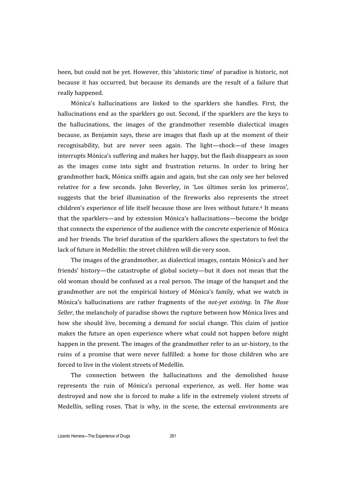been, but could not be yet. However, this 'ahistoric time' of paradise is historic, not because it has occurred, but because its demands are the result of a failure that really happened.

Mónica's hallucinations are linked to the sparklers she handles. First, the hallucinations end as the sparklers go out. Second, if the sparklers are the keys to the hallucinations, the images of the grandmother resemble dialectical images because, as Benjamin says, these are images that flash up at the moment of their recognisability, but are never seen again. The light—shock—of these images interrupts Mónica's suffering and makes her happy, but the flash disappears as soon as the images come into sight and frustration returns. In order to bring her grandmother back, Mónica sniffs again and again, but she can only see her beloved relative for a few seconds. John Beverley, in 'Los últimos serán los primeros', suggests that the brief illumination of the fireworks also represents the street children's experience of life itself because those are lives without future.4 It means that the sparklers—and by extension Mónica's hallucinations—become the bridge that connects the experience of the audience with the concrete experience of Mónica and her friends. The brief duration of the sparklers allows the spectators to feel the lack of future in Medellín: the street children will die very soon.

The images of the grandmother, as dialectical images, contain Mónica's and her friends' history—the catastrophe of global society—but it does not mean that the old woman should be confused as a real person. The image of the banquet and the grandmother are not the empirical history of Mónica's family, what we watch in Mónica's hallucinations are rather fragments of the *notyet existing*. In *The Rose Seller*, the melancholy of paradise shows the rupture between how Mónica lives and how she should live, becoming a demand for social change. This claim of justice makes the future an open experience where what could not happen before might happen in the present. The images of the grandmother refer to an ur-history, to the ruins of a promise that were never fulfilled: a home for those children who are forced to live in the violent streets of Medellín.

The connection between the hallucinations and the demolished house represents the ruin of Mónica's personal experience, as well. Her home was destroyed and now she is forced to make a life in the extremely violent streets of Medellín, selling roses. That is why, in the scene, the external environments are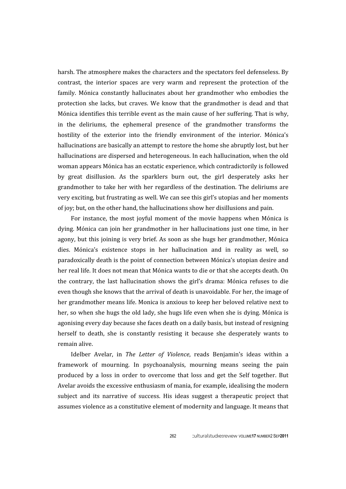harsh. The atmosphere makes the characters and the spectators feel defenseless. By contrast, the interior spaces are very warm and represent the protection of the family. Mónica constantly hallucinates about her grandmother who embodies the protection she lacks, but craves. We know that the grandmother is dead and that Mónica identifies this terrible event as the main cause of her suffering. That is why, in the deliriums, the ephemeral presence of the grandmother transforms the hostility of the exterior into the friendly environment of the interior. Mónica's hallucinations are basically an attempt to restore the home she abruptly lost, but her hallucinations are dispersed and heterogeneous. In each hallucination, when the old woman appears Mónica has an ecstatic experience, which contradictorily is followed by great disillusion. As the sparklers burn out, the girl desperately asks her grandmother to take her with her regardless of the destination. The deliriums are very exciting, but frustrating as well. We can see this girl's utopias and her moments of joy; but, on the other hand, the hallucinations show her disillusions and pain.

For instance, the most joyful moment of the movie happens when Mónica is dying. Mónica can join her grandmother in her hallucinations just one time, in her agony, but this joining is very brief. As soon as she hugs her grandmother, Mónica dies. Mónica's existence stops in her hallucination and in reality as well, so paradoxically death is the point of connection between Mónica's utopian desire and her real life. It does not mean that Mónica wants to die or that she accepts death. On the contrary, the last hallucination shows the girl's drama: Mónica refuses to die even though she knows that the arrival of death is unavoidable. For her, the image of her grandmother means life. Monica is anxious to keep her beloved relative next to her, so when she hugs the old lady, she hugs life even when she is dying. Mónica is agonising every day because she faces death on a daily basis, but instead of resigning herself to death, she is constantly resisting it because she desperately wants to remain alive.

Idelber Avelar, in *The Letter of Violence*, reads Benjamin's ideas within a framework of mourning. In psychoanalysis, mourning means seeing the pain produced by a loss in order to overcome that loss and get the Self together. But Avelar avoids the excessive enthusiasm of mania, for example, idealising the modern subject and its narrative of success. His ideas suggest a therapeutic project that assumes violence as a constitutive element of modernity and language. It means that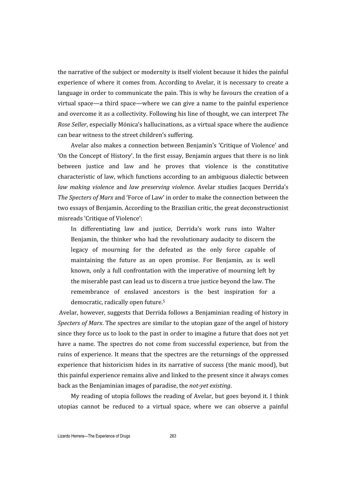the narrative of the subject or modernity is itself violent because it hides the painful experience of where it comes from. According to Avelar, it is necessary to create a language in order to communicate the pain. This is why he favours the creation of a virtual space—a third space—where we can give a name to the painful experience and overcome it as a collectivity. Following his line of thought, we can interpret *The Rose Seller*, especially Mónica's hallucinations, as a virtual space where the audience can bear witness to the street children's suffering.

Avelar also makes a connection between Benjamin's 'Critique of Violence' and 'On the Concept of History'. In the first essay, Benjamin argues that there is no link between justice and law and he proves that violence is the constitutive characteristic of law, which functions according to an ambiguous dialectic between *law making violence* and *law preserving violence*. Avelar studies Jacques Derrida's *The Specters of Marx* and 'Force of Law' in order to make the connection between the two essays of Benjamin. According to the Brazilian critic, the great deconstructionist misreads 'Critique of Violence':

In differentiating law and justice, Derrida's work runs into Walter Benjamin, the thinker who had the revolutionary audacity to discern the legacy of mourning for the defeated as the only force capable of maintaining the future as an open promise. For Benjamin, as is well known, only a full confrontation with the imperative of mourning left by the miserable past can lead us to discern a true justice beyond the law. The remembrance of enslaved ancestors is the best inspiration for a democratic, radically open future. 5

 Avelar, however, suggests that Derrida follows a Benjaminian reading of history in *Specters of Marx*. The spectres are similar to the utopian gaze of the angel of history since they force us to look to the past in order to imagine a future that does not yet have a name. The spectres do not come from successful experience, but from the ruins of experience. It means that the spectres are the returnings of the oppressed experience that historicism hides in its narrative of success (the manic mood), but this painful experience remains alive and linked to the present since it always comes back as the Benjaminian images of paradise, the *not-yet existing*.

My reading of utopia follows the reading of Avelar, but goes beyond it. I think utopias cannot be reduced to a virtual space, where we can observe a painful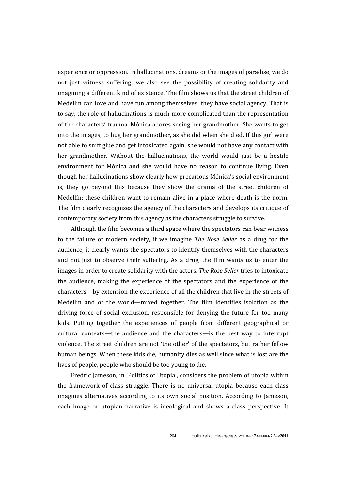experience or oppression. In hallucinations, dreams or the images of paradise, we do not just witness suffering; we also see the possibility of creating solidarity and imagining a different kind of existence. The film shows us that the street children of Medellín can love and have fun among themselves; they have social agency. That is to say, the role of hallucinations is much more complicated than the representation of the characters' trauma. Mónica adores seeing her grandmother. She wants to get into the images, to hug her grandmother, as she did when she died. If this girl were not able to sniff glue and get intoxicated again, she would not have any contact with her grandmother. Without the hallucinations, the world would just be a hostile environment for Mónica and she would have no reason to continue living. Even though her hallucinations show clearly how precarious Mónica's social environment is, they go beyond this because they show the drama of the street children of Medellín: these children want to remain alive in a place where death is the norm. The film clearly recognises the agency of the characters and develops its critique of contemporary society from this agency as the characters struggle to survive.

Although the film becomes a third space where the spectators can bear witness to the failure of modern society, if we imagine *The Rose Seller*  as a drug for the audience, it clearly wants the spectators to identify themselves with the characters and not just to observe their suffering. As a drug, the film wants us to enter the images in order to create solidarity with the actors. *The Rose Seller* tries to intoxicate the audience, making the experience of the spectators and the experience of the characters—by extension the experience of all the children that live in the streets of Medellín and of the world—mixed together. The film identifies isolation as the driving force of social exclusion, responsible for denying the future for too many kids. Putting together the experiences of people from different geographical or cultural contexts—the audience and the characters—is the best way to interrupt violence. The street children are not 'the other' of the spectators, but rather fellow human beings. When these kids die, humanity dies as well since what is lost are the lives of people, people who should be too young to die.

Fredric Jameson, in 'Politics of Utopia', considers the problem of utopia within the framework of class struggle. There is no universal utopia because each class imagines alternatives according to its own social position. According to Jameson, each image or utopian narrative is ideological and shows a class perspective. It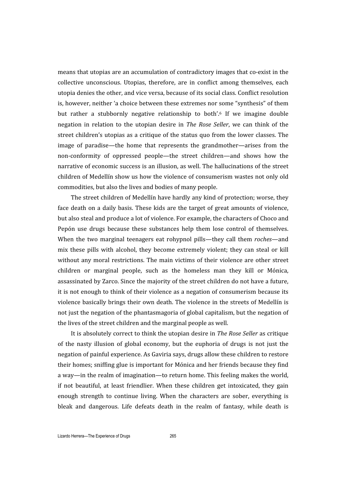means that utopias are an accumulation of contradictory images that co‐exist in the collective unconscious. Utopias, therefore, are in conflict among themselves, each utopia denies the other, and vice versa, because of its social class. Conflict resolution is, however, neither 'a choice between these extremes nor some "synthesis" of them but rather a stubbornly negative relationship to both'. 6 If we imagine double negation in relation to the utopian desire in *The Rose Seller*, we can think of the street children's utopias as a critique of the status quo from the lower classes. The image of paradise—the home that represents the grandmother—arises from the non‐conformity of oppressed people—the street children—and shows how the narrative of economic success is an illusion, as well. The hallucinations of the street children of Medellín show us how the violence of consumerism wastes not only old commodities, but also the lives and bodies of many people.

The street children of Medellín have hardly any kind of protection; worse, they face death on a daily basis. These kids are the target of great amounts of violence, but also steal and produce a lot of violence. For example, the characters of Choco and Pepón use drugs because these substances help them lose control of themselves. When the two marginal teenagers eat rohypnol pills—they call them *roches*—and mix these pills with alcohol, they become extremely violent; they can steal or kill without any moral restrictions. The main victims of their violence are other street children or marginal people, such as the homeless man they kill or Mónica, assassinated by Zarco. Since the majority of the street children do not have a future, it is not enough to think of their violence as a negation of consumerism because its violence basically brings their own death. The violence in the streets of Medellín is not just the negation of the phantasmagoria of global capitalism, but the negation of the lives of the street children and the marginal people as well.

It is absolutely correct to think the utopian desire in *The Rose Seller* as critique of the nasty illusion of global economy, but the euphoria of drugs is not just the negation of painful experience. As Gaviria says, drugs allow these children to restore their homes; sniffing glue is important for Mónica and her friends because they find a way—in the realm of imagination—to return home. This feeling makes the world, if not beautiful, at least friendlier. When these children get intoxicated, they gain enough strength to continue living. When the characters are sober, everything is bleak and dangerous. Life defeats death in the realm of fantasy, while death is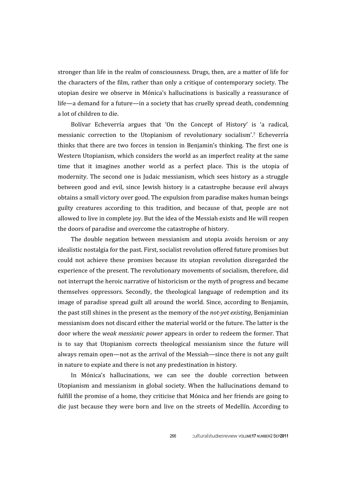stronger than life in the realm of consciousness. Drugs, then, are a matter of life for the characters of the film, rather than only a critique of contemporary society. The utopian desire we observe in Mónica's hallucinations is basically a reassurance of life—a demand for a future—in a society that has cruelly spread death, condemning a lot of children to die.

Bolívar Echeverría argues that 'On the Concept of History' is 'a radical, messianic correction to the Utopianism of revolutionary socialism'. 7 Echeverría thinks that there are two forces in tension in Benjamin's thinking. The first one is Western Utopianism, which considers the world as an imperfect reality at the same time that it imagines another world as a perfect place. This is the utopia of modernity. The second one is Judaic messianism, which sees history as a struggle between good and evil, since Jewish history is a catastrophe because evil always obtains a small victory over good. The expulsion from paradise makes human beings guilty creatures according to this tradition, and because of that, people are not allowed to live in complete joy. But the idea of the Messiah exists and He will reopen the doors of paradise and overcome the catastrophe of history.

The double negation between messianism and utopia avoids heroism or any idealistic nostalgia for the past. First, socialist revolution offered future promises but could not achieve these promises because its utopian revolution disregarded the experience of the present. The revolutionary movements of socialism, therefore, did not interrupt the heroic narrative of historicism or the myth of progress and became themselves oppressors. Secondly, the theological language of redemption and its image of paradise spread guilt all around the world. Since, according to Benjamin, the past still shines in the present as the memory of the *not-yet existing*, Benjaminian messianism does not discard either the material world or the future. The latter is the door where the *weak messianic power* appears in order to redeem the former. That is to say that Utopianism corrects theological messianism since the future will always remain open—not as the arrival of the Messiah—since there is not any guilt in nature to expiate and there is not any predestination in history.

In Mónica's hallucinations, we can see the double correction between Utopianism and messianism in global society. When the hallucinations demand to fulfill the promise of a home, they criticise that Mónica and her friends are going to die just because they were born and live on the streets of Medellín. According to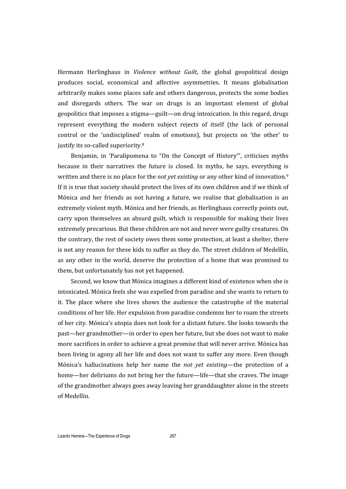Hermann Herlinghaus in *Violence without Guilt*, the global geopolitical design produces social, economical and affective asymmetries. It means globalisation arbitrarily makes some places safe and others dangerous, protects the some bodies and disregards others. The war on drugs is an important element of global geopolitics that imposes a stigma—guilt—on drug intoxication. In this regard, drugs represent everything the modern subject rejects of itself (the lack of personal control or the 'undisciplined' realm of emotions), but projects on 'the other' to justify its so-called superiority.<sup>8</sup>

Benjamin, in 'Paralipomena to "On the Concept of History"', criticises myths because in their narratives the future is closed. In myths, he says, everything is written and there is no place for the *not yet existing* or any other kind of innovation.9 If it is true that society should protect the lives of its own children and if we think of Mónica and her friends as not having a future, we realise that globalisation is an extremely violent myth. Mónica and her friends, as Herlinghaus correctly points out, carry upon themselves an absurd guilt, which is responsible for making their lives extremely precarious. But these children are not and never were guilty creatures. On the contrary, the rest of society owes them some protection, at least a shelter, there is not any reason for these kids to suffer as they do. The street children of Medellín, as any other in the world, deserve the protection of a home that was promised to them, but unfortunately has not yet happened.

Second, we know that Mónica imagines a different kind of existence when she is intoxicated. Mónica feels she was expelled from paradise and she wants to return to it. The place where she lives shows the audience the catastrophe of the material conditions of her life. Her expulsion from paradise condemns her to roam the streets of her city. Mónica's utopia does not look for a distant future. She looks towards the past—her grandmother—in order to open her future, but she does not want to make more sacrifices in order to achieve a great promise that will never arrive. Mónica has been living in agony all her life and does not want to suffer any more. Even though Mónica's hallucinations help her name the *not yet existing—*the protection of a home—her deliriums do not bring her the future—life—that she craves. The image of the grandmother always goes away leaving her granddaughter alone in the streets of Medellín.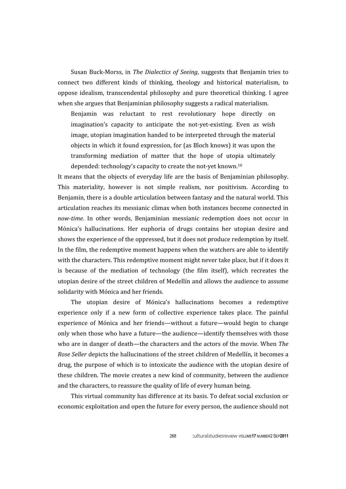Susan Buck-Morss, in *The Dialectics of Seeing*, suggests that Benjamin tries to connect two different kinds of thinking, theology and historical materialism, to oppose idealism, transcendental philosophy and pure theoretical thinking. I agree when she argues that Benjaminian philosophy suggests a radical materialism.

Benjamin was reluctant to rest revolutionary hope directly on imagination's capacity to anticipate the not-yet-existing. Even as wish image, utopian imagination handed to be interpreted through the material objects in which it found expression, for (as Bloch knows) it was upon the transforming mediation of matter that the hope of utopia ultimately depended: technology's capacity to create the not‐yet known.10

It means that the objects of everyday life are the basis of Benjaminian philosophy. This materiality, however is not simple realism, nor positivism. According to Benjamin, there is a double articulation between fantasy and the natural world. This articulation reaches its messianic climax when both instances become connected in *nowtime*. In other words, Benjaminian messianic redemption does not occur in Mónica's hallucinations. Her euphoria of drugs contains her utopian desire and shows the experience of the oppressed, but it does not produce redemption by itself. In the film, the redemptive moment happens when the watchers are able to identify with the characters. This redemptive moment might never take place, but if it does it is because of the mediation of technology (the film itself), which recreates the utopian desire of the street children of Medellín and allows the audience to assume solidarity with Mónica and her friends.

The utopian desire of Mónica's hallucinations becomes a redemptive experience only if a new form of collective experience takes place. The painful experience of Mónica and her friends—without a future—would begin to change only when those who have a future—the audience—identify themselves with those who are in danger of death—the characters and the actors of the movie. When *The Rose Seller* depicts the hallucinations of the street children of Medellín, it becomes a drug, the purpose of which is to intoxicate the audience with the utopian desire of these children. The movie creates a new kind of community, between the audience and the characters, to reassure the quality of life of every human being.

This virtual community has difference at its basis. To defeat social exclusion or economic exploitation and open the future for every person, the audience should not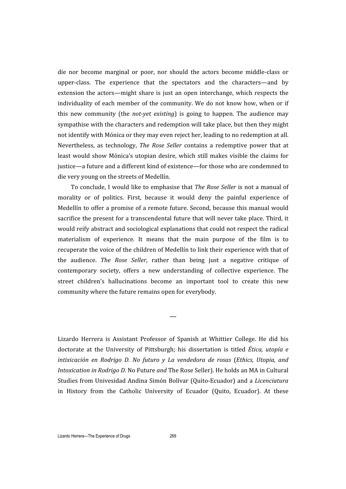die nor become marginal or poor, nor should the actors become middle‐class or upper-class. The experience that the spectators and the characters—and by extension the actors—might share is just an open interchange, which respects the individuality of each member of the community. We do not know how, when or if this new community (the *notyet existing*) is going to happen. The audience may sympathise with the characters and redemption will take place, but then they might not identify with Mónica or they may even reject her, leading to no redemption at all. Nevertheless, as technology, *The Rose Seller*  contains a redemptive power that at least would show Mónica's utopian desire, which still makes visible the claims for justice—a future and a different kind of existence—for those who are condemned to die very young on the streets of Medellín.

To conclude, I would like to emphasise that *The Rose Seller* is not a manual of morality or of politics. First, because it would deny the painful experience of Medellín to offer a promise of a remote future. Second, because this manual would sacrifice the present for a transcendental future that will never take place. Third, it would reify abstract and sociological explanations that could not respect the radical materialism of experience. It means that the main purpose of the film is to recuperate the voice of the children of Medellín to link their experience with that of the audience. *The Rose Seller*, rather than being just a negative critique of contemporary society, offers a new understanding of collective experience. The street children's hallucinations become an important tool to create this new community where the future remains open for everybody.

Lizardo Herrera is Assistant Professor of Spanish at Whittier College. He did his doctorate at the University of Pittsburgh; his dissertation is titled *Ética, utopía e intixicación en Rodrigo D. No futuro y La vendedora de rosas*  (*Ethics, Utopia, and Intoxication in Rodrigo D.* No Future *and* The Rose Seller). He holds an MA in Cultural Studies from Univesidad Andina Simón Bolívar (Quito‐Ecuador) and a *Licenciatura* in History from the Catholic University of Ecuador (Quito, Ecuador). At these

—